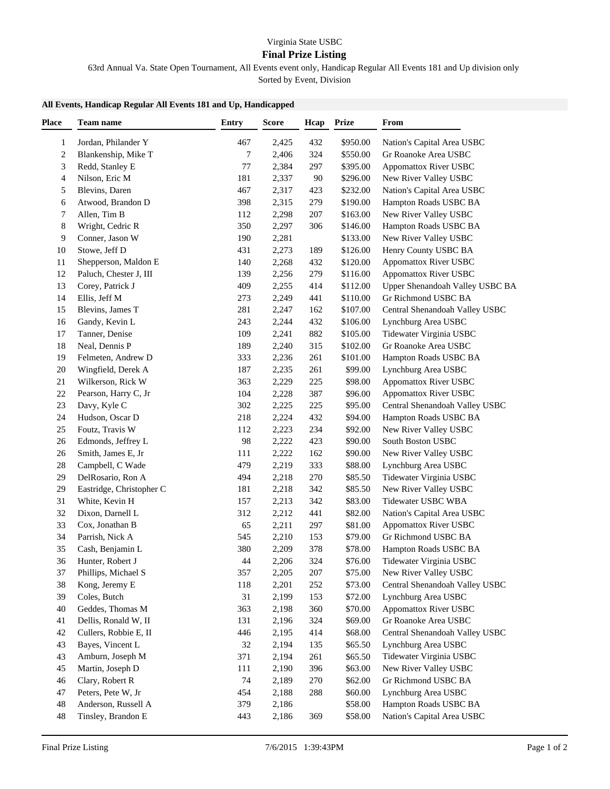## **Final Prize Listing**

63rd Annual Va. State Open Tournament, All Events event only, Handicap Regular All Events 181 and Up division only Sorted by Event, Division

|  | All Events, Handicap Regular All Events 181 and Up, Handicapped |
|--|-----------------------------------------------------------------|

| Place                   | Team name                | <b>Entry</b> | <b>Score</b> | Hcap | <b>Prize</b> | From                            |  |
|-------------------------|--------------------------|--------------|--------------|------|--------------|---------------------------------|--|
| 1                       | Jordan, Philander Y      | 467          | 2,425        | 432  | \$950.00     | Nation's Capital Area USBC      |  |
| $\overline{\mathbf{c}}$ | Blankenship, Mike T      | 7            | 2,406        | 324  | \$550.00     | Gr Roanoke Area USBC            |  |
| 3                       | Redd, Stanley E          | 77           | 2,384        | 297  | \$395.00     | <b>Appomattox River USBC</b>    |  |
| 4                       | Nilson, Eric M           | 181          | 2,337        | 90   | \$296.00     | New River Valley USBC           |  |
| 5                       | Blevins, Daren           | 467          | 2,317        | 423  | \$232.00     | Nation's Capital Area USBC      |  |
| 6                       | Atwood, Brandon D        | 398          | 2,315        | 279  | \$190.00     | Hampton Roads USBC BA           |  |
| 7                       | Allen, Tim B             | 112          | 2,298        | 207  | \$163.00     | New River Valley USBC           |  |
| 8                       | Wright, Cedric R         | 350          | 2,297        | 306  | \$146.00     | Hampton Roads USBC BA           |  |
| 9                       | Conner, Jason W          | 190          | 2,281        |      | \$133.00     | New River Valley USBC           |  |
| 10                      | Stowe, Jeff D            | 431          | 2,273        | 189  | \$126.00     | Henry County USBC BA            |  |
| 11                      | Shepperson, Maldon E     | 140          | 2,268        | 432  | \$120.00     | <b>Appomattox River USBC</b>    |  |
| 12                      | Paluch, Chester J, III   | 139          | 2,256        | 279  | \$116.00     | <b>Appomattox River USBC</b>    |  |
| 13                      | Corey, Patrick J         | 409          | 2,255        | 414  | \$112.00     | Upper Shenandoah Valley USBC BA |  |
| 14                      | Ellis, Jeff M            | 273          | 2,249        | 441  | \$110.00     | Gr Richmond USBC BA             |  |
| 15                      | Blevins, James T         | 281          |              | 162  | \$107.00     |                                 |  |
|                         |                          |              | 2,247        |      |              | Central Shenandoah Valley USBC  |  |
| 16                      | Gandy, Kevin L           | 243          | 2,244        | 432  | \$106.00     | Lynchburg Area USBC             |  |
| 17                      | Tanner, Denise           | 109          | 2,241        | 882  | \$105.00     | Tidewater Virginia USBC         |  |
| 18                      | Neal, Dennis P           | 189          | 2,240        | 315  | \$102.00     | Gr Roanoke Area USBC            |  |
| 19                      | Felmeten, Andrew D       | 333          | 2,236        | 261  | \$101.00     | Hampton Roads USBC BA           |  |
| 20                      | Wingfield, Derek A       | 187          | 2,235        | 261  | \$99.00      | Lynchburg Area USBC             |  |
| 21                      | Wilkerson, Rick W        | 363          | 2,229        | 225  | \$98.00      | <b>Appomattox River USBC</b>    |  |
| 22                      | Pearson, Harry C, Jr     | 104          | 2,228        | 387  | \$96.00      | <b>Appomattox River USBC</b>    |  |
| 23                      | Davy, Kyle C             | 302          | 2,225        | 225  | \$95.00      | Central Shenandoah Valley USBC  |  |
| 24                      | Hudson, Oscar D          | 218          | 2,224        | 432  | \$94.00      | Hampton Roads USBC BA           |  |
| 25                      | Foutz, Travis W          | 112          | 2,223        | 234  | \$92.00      | New River Valley USBC           |  |
| 26                      | Edmonds, Jeffrey L       | 98           | 2,222        | 423  | \$90.00      | South Boston USBC               |  |
| 26                      | Smith, James E, Jr       | 111          | 2,222        | 162  | \$90.00      | New River Valley USBC           |  |
| 28                      | Campbell, C Wade         | 479          | 2,219        | 333  | \$88.00      | Lynchburg Area USBC             |  |
| 29                      | DelRosario, Ron A        | 494          | 2,218        | 270  | \$85.50      | Tidewater Virginia USBC         |  |
| 29                      | Eastridge, Christopher C | 181          | 2,218        | 342  | \$85.50      | New River Valley USBC           |  |
| 31                      | White, Kevin H           | 157          | 2,213        | 342  | \$83.00      | Tidewater USBC WBA              |  |
| 32                      | Dixon, Darnell L         | 312          | 2,212        | 441  | \$82.00      | Nation's Capital Area USBC      |  |
| 33                      | Cox, Jonathan B          | 65           | 2,211        | 297  | \$81.00      | <b>Appomattox River USBC</b>    |  |
| 34                      | Parrish, Nick A          | 545          | 2,210        | 153  | \$79.00      | Gr Richmond USBC BA             |  |
| 35                      | Cash, Benjamin L         | 380          | 2,209        | 378  | \$78.00      | Hampton Roads USBC BA           |  |
| 36                      | Hunter, Robert J         | 44           | 2,206        | 324  | \$76.00      | Tidewater Virginia USBC         |  |
| 37                      | Phillips, Michael S      | 357          | 2,205        | 207  | \$75.00      | New River Valley USBC           |  |
| 38                      | Kong, Jeremy E           | 118          | 2,201        | 252  | \$73.00      | Central Shenandoah Valley USBC  |  |
| 39                      | Coles, Butch             | 31           | 2,199        | 153  | \$72.00      | Lynchburg Area USBC             |  |
| 40                      | Geddes, Thomas M         | 363          | 2,198        | 360  | \$70.00      | <b>Appomattox River USBC</b>    |  |
| 41                      | Dellis, Ronald W, II     | 131          | 2,196        | 324  | \$69.00      | Gr Roanoke Area USBC            |  |
| 42                      | Cullers, Robbie E, II    | 446          | 2,195        | 414  | \$68.00      | Central Shenandoah Valley USBC  |  |
| 43                      | Bayes, Vincent L         | 32           | 2,194        | 135  | \$65.50      | Lynchburg Area USBC             |  |
| 43                      | Amburn, Joseph M         | 371          | 2,194        | 261  | \$65.50      | Tidewater Virginia USBC         |  |
| 45                      | Martin, Joseph D         | 111          | 2,190        | 396  | \$63.00      | New River Valley USBC           |  |
| 46                      | Clary, Robert R          | 74           | 2,189        | 270  | \$62.00      | Gr Richmond USBC BA             |  |
| 47                      | Peters, Pete W, Jr       | 454          | 2,188        | 288  | \$60.00      | Lynchburg Area USBC             |  |
| 48                      | Anderson, Russell A      | 379          | 2,186        |      | \$58.00      | Hampton Roads USBC BA           |  |
| 48                      | Tinsley, Brandon E       | 443          | 2,186        | 369  | \$58.00      | Nation's Capital Area USBC      |  |
|                         |                          |              |              |      |              |                                 |  |